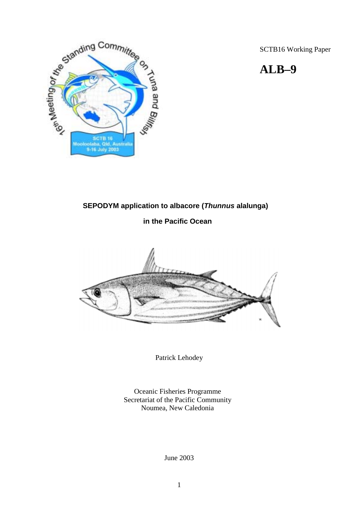SCTB16 Working Paper

# **ALB–9**



# **SEPODYM application to albacore (***Thunnus* **alalunga)**

# **in the Pacific Ocean**



Patrick Lehodey

Oceanic Fisheries Programme Secretariat of the Pacific Community Noumea, New Caledonia

June 2003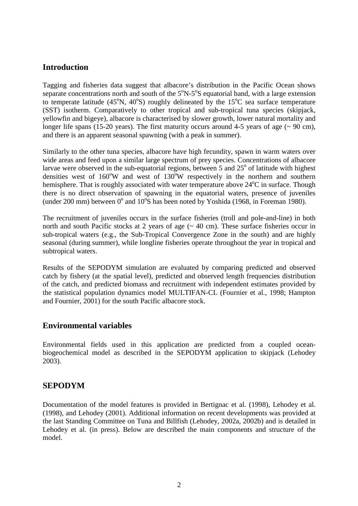# **Introduction**

Tagging and fisheries data suggest that albacore's distribution in the Pacific Ocean shows separate concentrations north and south of the  $5^{\circ}N-5^{\circ}S$  equatorial band, with a large extension to temperate latitude (45°N, 40°S) roughly delineated by the 15°C sea surface temperature (SST) isotherm. Comparatively to other tropical and sub-tropical tuna species (skipjack, yellowfin and bigeye), albacore is characterised by slower growth, lower natural mortality and longer life spans (15-20 years). The first maturity occurs around 4-5 years of age  $($   $\sim$  90 cm), and there is an apparent seasonal spawning (with a peak in summer).

Similarly to the other tuna species, albacore have high fecundity, spawn in warm waters over wide areas and feed upon a similar large spectrum of prey species. Concentrations of albacore larvae were observed in the sub-equatorial regions, between 5 and  $25^{\circ}$  of latitude with highest densities west of  $160^{\circ}$ W and west of  $130^{\circ}$ W respectively in the northern and southern hemisphere. That is roughly associated with water temperature above 24°C in surface. Though there is no direct observation of spawning in the equatorial waters, presence of juveniles (under 200 mm) between  $0^{\circ}$  and  $10^{\circ}$ S has been noted by Yoshida (1968, in Foreman 1980).

The recruitment of juveniles occurs in the surface fisheries (troll and pole-and-line) in both north and south Pacific stocks at 2 years of age  $($   $\sim$  40 cm). These surface fisheries occur in sub-tropical waters (e.g., the Sub-Tropical Convergence Zone in the south) and are highly seasonal (during summer), while longline fisheries operate throughout the year in tropical and subtropical waters.

Results of the SEPODYM simulation are evaluated by comparing predicted and observed catch by fishery (at the spatial level), predicted and observed length frequencies distribution of the catch, and predicted biomass and recruitment with independent estimates provided by the statistical population dynamics model MULTIFAN-CL (Fournier et al., 1998; Hampton and Fournier, 2001) for the south Pacific albacore stock.

# **Environmental variables**

Environmental fields used in this application are predicted from a coupled oceanbiogeochemical model as described in the SEPODYM application to skipjack (Lehodey 2003).

# **SEPODYM**

Documentation of the model features is provided in Bertignac et al. (1998), Lehodey et al. (1998), and Lehodey (2001). Additional information on recent developments was provided at the last Standing Committee on Tuna and Billfish (Lehodey, 2002a, 2002b) and is detailed in Lehodey et al. (in press). Below are described the main components and structure of the model.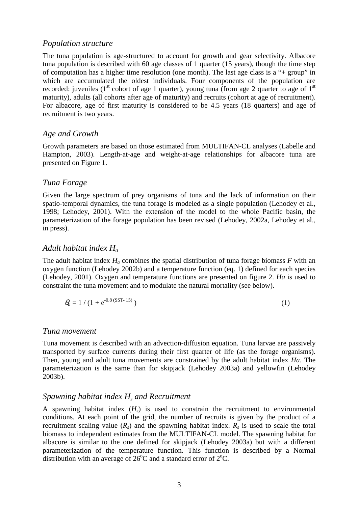#### *Population structure*

The tuna population is age-structured to account for growth and gear selectivity. Albacore tuna population is described with 60 age classes of 1 quarter (15 years), though the time step of computation has a higher time resolution (one month). The last age class is a "+ group" in which are accumulated the oldest individuals. Four components of the population are recorded: juveniles ( $1<sup>st</sup>$  cohort of age 1 quarter), young tuna (from age 2 quarter to age of  $1<sup>st</sup>$ maturity), adults (all cohorts after age of maturity) and recruits (cohort at age of recruitment). For albacore, age of first maturity is considered to be 4.5 years (18 quarters) and age of recruitment is two years.

#### *Age and Growth*

Growth parameters are based on those estimated from MULTIFAN-CL analyses (Labelle and Hampton, 2003). Length-at-age and weight-at-age relationships for albacore tuna are presented on Figure 1.

#### *Tuna Forage*

Given the large spectrum of prey organisms of tuna and the lack of information on their spatio-temporal dynamics, the tuna forage is modeled as a single population (Lehodey et al., 1998; Lehodey, 2001). With the extension of the model to the whole Pacific basin, the parameterization of the forage population has been revised (Lehodey, 2002a, Lehodey et al., in press).

#### *Adult habitat index Ha*

The adult habitat index  $H_a$  combines the spatial distribution of tuna forage biomass  $F$  with an oxygen function (Lehodey 2002b) and a temperature function (eq. 1) defined for each species (Lehodey, 2001). Oxygen and temperature functions are presented on figure 2. *Ha* is used to constraint the tuna movement and to modulate the natural mortality (see below).

$$
\theta_a = 1 / (1 + e^{-0.8 \text{ (SST-15)}})
$$
 (1)

#### *Tuna movement*

Tuna movement is described with an advection-diffusion equation. Tuna larvae are passively transported by surface currents during their first quarter of life (as the forage organisms). Then, young and adult tuna movements are constrained by the adult habitat index *Ha*. The parameterization is the same than for skipjack (Lehodey 2003a) and yellowfin (Lehodey 2003b).

#### *Spawning habitat index Hs and Recruitment*

A spawning habitat index  $(H<sub>s</sub>)$  is used to constrain the recruitment to environmental conditions. At each point of the grid, the number of recruits is given by the product of a recruitment scaling value  $(R_s)$  and the spawning habitat index.  $R_s$  is used to scale the total biomass to independent estimates from the MULTIFAN-CL model. The spawning habitat for albacore is similar to the one defined for skipjack (Lehodey 2003a) but with a different parameterization of the temperature function. This function is described by a Normal distribution with an average of  $26^{\circ}$ C and a standard error of  $2^{\circ}$ C.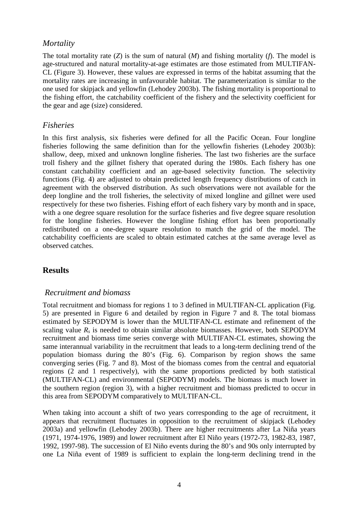# *Mortality*

The total mortality rate (*Z*) is the sum of natural (*M*) and fishing mortality (*f*). The model is age-structured and natural mortality-at-age estimates are those estimated from MULTIFAN-CL (Figure 3). However, these values are expressed in terms of the habitat assuming that the mortality rates are increasing in unfavourable habitat. The parameterization is similar to the one used for skipjack and yellowfin (Lehodey 2003b). The fishing mortality is proportional to the fishing effort, the catchability coefficient of the fishery and the selectivity coefficient for the gear and age (size) considered.

# *Fisheries*

In this first analysis, six fisheries were defined for all the Pacific Ocean. Four longline fisheries following the same definition than for the yellowfin fisheries (Lehodey 2003b): shallow, deep, mixed and unknown longline fisheries. The last two fisheries are the surface troll fishery and the gillnet fishery that operated during the 1980s. Each fishery has one constant catchability coefficient and an age-based selectivity function. The selectivity functions (Fig. 4) are adjusted to obtain predicted length frequency distributions of catch in agreement with the observed distribution. As such observations were not available for the deep longline and the troll fisheries, the selectivity of mixed longline and gillnet were used respectively for these two fisheries. Fishing effort of each fishery vary by month and in space, with a one degree square resolution for the surface fisheries and five degree square resolution for the longline fisheries. However the longline fishing effort has been proportionally redistributed on a one-degree square resolution to match the grid of the model. The catchability coefficients are scaled to obtain estimated catches at the same average level as observed catches.

# **Results**

# *Recruitment and biomass*

Total recruitment and biomass for regions 1 to 3 defined in MULTIFAN-CL application (Fig. 5) are presented in Figure 6 and detailed by region in Figure 7 and 8. The total biomass estimated by SEPODYM is lower than the MULTIFAN-CL estimate and refinement of the scaling value  $R_s$  is needed to obtain similar absolute biomasses. However, both SEPODYM recruitment and biomass time series converge with MULTIFAN-CL estimates, showing the same interannual variability in the recruitment that leads to a long-term declining trend of the population biomass during the 80's (Fig. 6). Comparison by region shows the same converging series (Fig. 7 and 8). Most of the biomass comes from the central and equatorial regions (2 and 1 respectively), with the same proportions predicted by both statistical (MULTIFAN-CL) and environmental (SEPODYM) models. The biomass is much lower in the southern region (region 3), with a higher recruitment and biomass predicted to occur in this area from SEPODYM comparatively to MULTIFAN-CL.

When taking into account a shift of two years corresponding to the age of recruitment, it appears that recruitment fluctuates in opposition to the recruitment of skipjack (Lehodey 2003a) and yellowfin (Lehodey 2003b). There are higher recruitments after La Niña years (1971, 1974-1976, 1989) and lower recruitment after El Niño years (1972-73, 1982-83, 1987, 1992, 1997-98). The succession of El Niño events during the 80's and 90s only interrupted by one La Niña event of 1989 is sufficient to explain the long-term declining trend in the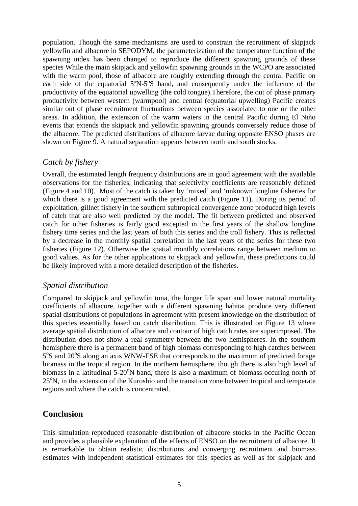population. Though the same mechanisms are used to constrain the recruitment of skipjack yellowfin and albacore in SEPODYM, the parameterization of the temperature function of the spawning index has been changed to reproduce the different spawning grounds of these species While the main skipjack and yellowfin spawning grounds in the WCPO are associated with the warm pool, those of albacore are roughly extending through the central Pacific on each side of the equatorial  $5^{\circ}N-5^{\circ}S$  band, and consequently under the influence of the productivity of the equatorial upwelling (the cold tongue).Therefore, the out of phase primary productivity between western (warmpool) and central (equatorial upwelling) Pacific creates similar out of phase recruitment fluctuations between species associated to one or the other areas. In addition, the extension of the warm waters in the central Pacific during El Niño events that extends the skipjack and yellowfin spawning grounds conversely reduce those of the albacore. The predicted distributions of albacore larvae during opposite ENSO phases are shown on Figure 9. A natural separation appears between north and south stocks.

### *Catch by fishery*

Overall, the estimated length frequency distributions are in good agreement with the available observations for the fisheries, indicating that selectivity coefficients are reasonably defined (Figure 4 and 10). Most of the catch is taken by 'mixed' and 'unknown'longline fisheries for which there is a good agreement with the predicted catch (Figure 11). During its period of exploitation, gillnet fishery in the southern subtropical convergence zone produced high levels of catch that are also well predicted by the model. The fit between predicted and observed catch for other fisheries is fairly good excepted in the first years of the shallow longline fishery time series and the last years of both this series and the troll fishery. This is reflected by a decrease in the monthly spatial correlation in the last years of the series for these two fisheries (Figure 12). Otherwise the spatial monthly correlations range between medium to good values. As for the other applications to skipjack and yellowfin, these predictions could be likely improved with a more detailed description of the fisheries.

# *Spatial distribution*

Compared to skipjack and yellowfin tuna, the longer life span and lower natural mortality coefficients of albacore, together with a different spawning habitat produce very different spatial distributions of populations in agreement with present knowledge on the distribution of this species essentially based on catch distribution. This is illustrated on Figure 13 where average spatial distribution of albacore and contour of high catch rates are superimposed. The distribution does not show a real symmetry between the two hemispheres. In the southern hemisphere there is a permanent band of high biomass corresponding to high catches between 5°S and 20°S along an axis WNW-ESE that corresponds to the maximum of predicted forage biomass in the tropical region. In the northern hemisphere, though there is also high level of biomass in a latitudinal 5-20°N band, there is also a maximum of biomass occuring north of 25<sup>°</sup>N, in the extension of the Kuroshio and the transition zone between tropical and temperate regions and where the catch is concentrated.

# **Conclusion**

This simulation reproduced reasonable distribution of albacore stocks in the Pacific Ocean and provides a plausible explanation of the effects of ENSO on the recruitment of albacore. It is remarkable to obtain realistic distributions and converging recruitment and biomass estimates with independent statistical estimates for this species as well as for skipjack and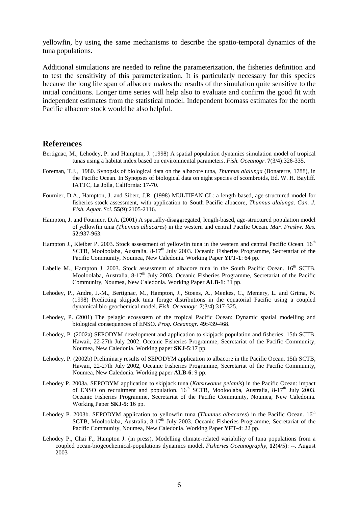yellowfin, by using the same mechanisms to describe the spatio-temporal dynamics of the tuna populations.

Additional simulations are needed to refine the parameterization, the fisheries definition and to test the sensitivity of this parameterization. It is particularly necessary for this species because the long life span of albacore makes the results of the simulation quite sensitive to the initial conditions. Longer time series will help also to evaluate and confirm the good fit with independent estimates from the statistical model. Independent biomass estimates for the north Pacific albacore stock would be also helpful.

#### **References**

- Bertignac, M., Lehodey, P. and Hampton, J. (1998) A spatial population dynamics simulation model of tropical tunas using a habitat index based on environmental parameters. *Fish. Oceanogr*. **7**(3/4):326-335.
- Foreman, T.J., 1980. Synopsis of biological data on the albacore tuna, *Thunnus alalunga* (Bonaterre, 1788), in the Pacific Ocean. In Synopses of biological data on eight species of scombroids, Ed. W. H. Bayliff. IATTC, La Jolla, California: 17-70.
- Fournier, D.A., Hampton, J. and Sibert, J.R. (1998) MULTIFAN-CL: a length-based, age-structured model for fisheries stock assessment, with application to South Pacific albacore, *Thunnus alalunga*. *Can. J. Fish. Aquat. Sci.* **55**(9):2105-2116.
- Hampton, J. and Fournier, D.A. (2001) A spatially-disaggregated, length-based, age-structured population model of yellowfin tuna *(Thunnus albacare*s) in the western and central Pacific Ocean. *Mar. Freshw. Res.*  **52**:937-963.
- Hampton J., Kleiber P. 2003. Stock assessment of yellowfin tuna in the western and central Pacific Ocean. 16<sup>th</sup> SCTB, Mooloolaba, Australia,  $8-17<sup>th</sup>$  July 2003. Oceanic Fisheries Programme, Secretariat of the Pacific Community, Noumea, New Caledonia. Working Paper **YFT-1**: 64 pp.
- Labelle M., Hampton J. 2003. Stock assessment of albacore tuna in the South Pacific Ocean. 16<sup>th</sup> SCTB. Mooloolaba, Australia,  $8-17<sup>th</sup>$  July 2003. Oceanic Fisheries Programme, Secretariat of the Pacific Community, Noumea, New Caledonia. Working Paper **ALB-1**: 31 pp.
- Lehodey, P., Andre, J.-M., Bertignac, M., Hampton, J., Stoens, A., Menkes, C., Memery, L. and Grima, N. (1998) Predicting skipjack tuna forage distributions in the equatorial Pacific using a coupled dynamical bio-geochemical model. *Fish. Oceanogr.* **7**(3/4):317-325.
- Lehodey, P. (2001) The pelagic ecosystem of the tropical Pacific Ocean: Dynamic spatial modelling and biological consequences of ENSO. *Prog. Oceanogr.* **49:**439-468.
- Lehodey, P. (2002a) SEPODYM development and application to skipjack population and fisheries. 15th SCTB, Hawaii, 22-27th July 2002, Oceanic Fisheries Programme, Secretariat of the Pacific Community, Noumea, New Caledonia. Working paper **SKJ-5**:17 pp.
- Lehodey, P. (2002b) Preliminary results of SEPODYM application to albacore in the Pacific Ocean. 15th SCTB, Hawaii, 22-27th July 2002, Oceanic Fisheries Programme, Secretariat of the Pacific Community, Noumea, New Caledonia. Working paper **ALB-6**: 9 pp.
- Lehodey P. 2003a. SEPODYM application to skipjack tuna (*Katsuwonus pelamis*) in the Pacific Ocean: impact of ENSO on recruitment and population. 16<sup>th</sup> SCTB, Mooloolaba, Australia, 8-17<sup>th</sup> July 2003. Oceanic Fisheries Programme, Secretariat of the Pacific Community, Noumea, New Caledonia. Working Paper **SKJ-5**: 16 pp.
- Lehodey P. 2003b. SEPODYM application to yellowfin tuna (*Thunnus albacares*) in the Pacific Ocean. 16<sup>th</sup> SCTB, Mooloolaba, Australia, 8-17<sup>th</sup> July 2003. Oceanic Fisheries Programme, Secretariat of the Pacific Community, Noumea, New Caledonia. Working Paper **YFT-4**: 22 pp.
- Lehodey P., Chai F., Hampton J. (in press). Modelling climate-related variability of tuna populations from a coupled ocean-biogeochemical-populations dynamics model. *Fisheries Oceanography*, **12**(4/5): --. August 2003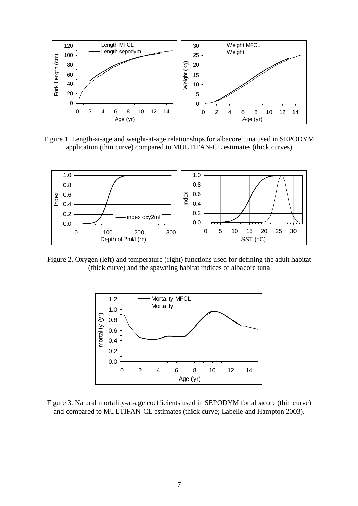

Figure 1. Length-at-age and weight-at-age relationships for albacore tuna used in SEPODYM application (thin curve) compared to MULTIFAN-CL estimates (thick curves)



Figure 2. Oxygen (left) and temperature (right) functions used for defining the adult habitat (thick curve) and the spawning habitat indices of albacore tuna



Figure 3. Natural mortality-at-age coefficients used in SEPODYM for albacore (thin curve) and compared to MULTIFAN-CL estimates (thick curve; Labelle and Hampton 2003).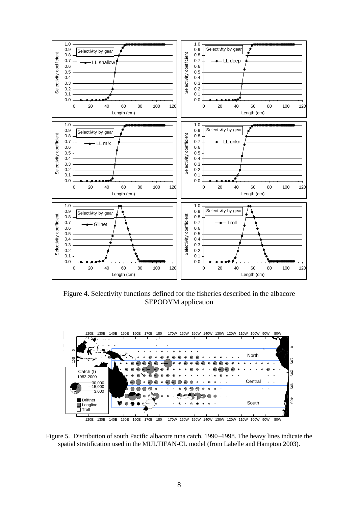

Figure 4. Selectivity functions defined for the fisheries described in the albacore SEPODYM application



Figure 5. Distribution of south Pacific albacore tuna catch, 1990−1998. The heavy lines indicate the spatial stratification used in the MULTIFAN-CL model (from Labelle and Hampton 2003).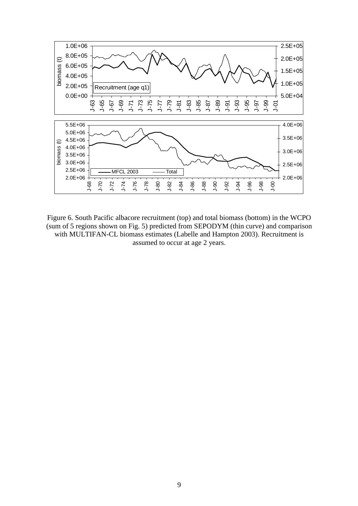

Figure 6. South Pacific albacore recruitment (top) and total biomass (bottom) in the WCPO (sum of 5 regions shown on Fig. 5) predicted from SEPODYM (thin curve) and comparison with MULTIFAN-CL biomass estimates (Labelle and Hampton 2003). Recruitment is assumed to occur at age 2 years.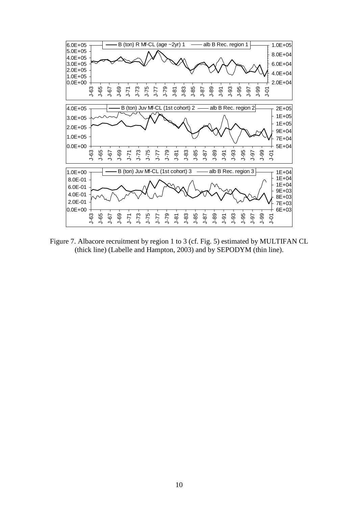

Figure 7. Albacore recruitment by region 1 to 3 (cf. Fig. 5) estimated by MULTIFAN CL (thick line) (Labelle and Hampton, 2003) and by SEPODYM (thin line).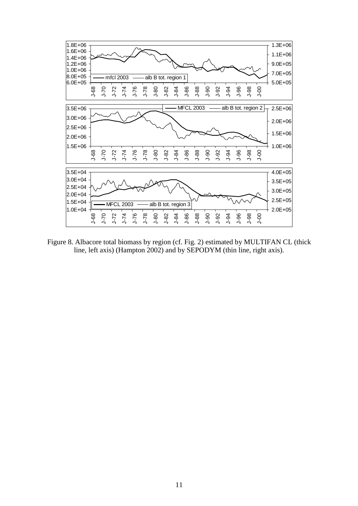

Figure 8. Albacore total biomass by region (cf. Fig. 2) estimated by MULTIFAN CL (thick line, left axis) (Hampton 2002) and by SEPODYM (thin line, right axis).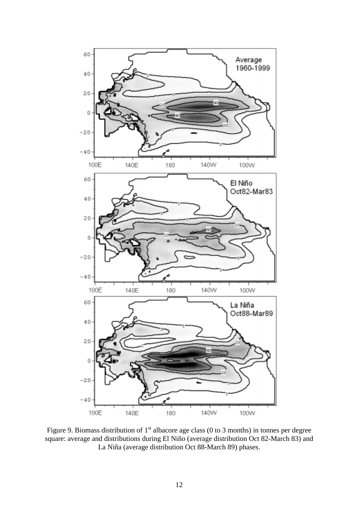

Figure 9. Biomass distribution of  $1<sup>st</sup>$  albacore age class (0 to 3 months) in tonnes per degree square: average and distributions during El Niño (average distribution Oct 82-March 83) and La Niña (average distribution Oct 88-March 89) phases.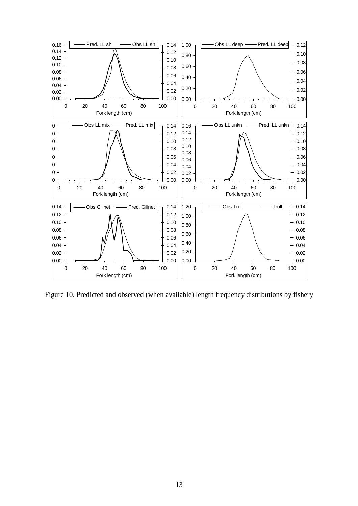

Figure 10. Predicted and observed (when available) length frequency distributions by fishery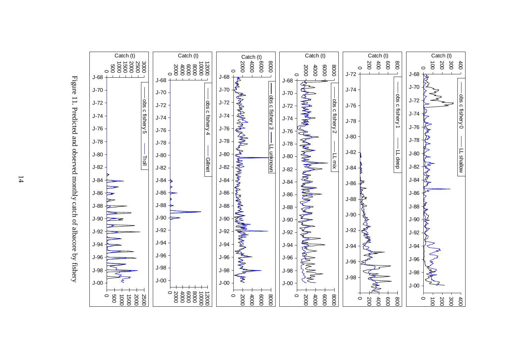



14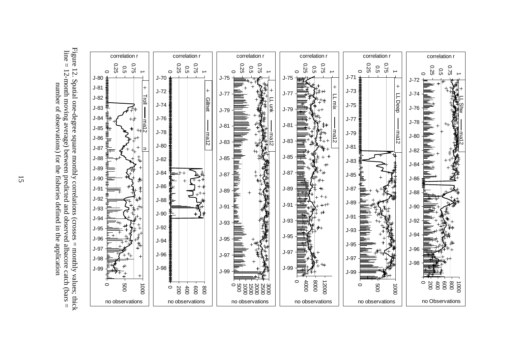



15